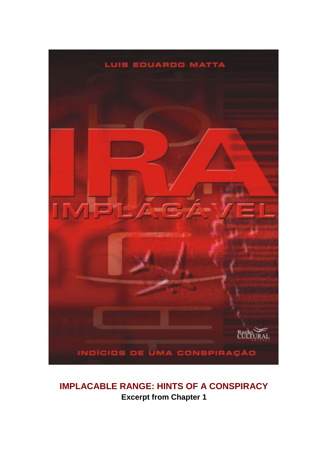

## **IMPLACABLE RANGE: HINTS OF A CONSPIRACY Excerpt from Chapter 1**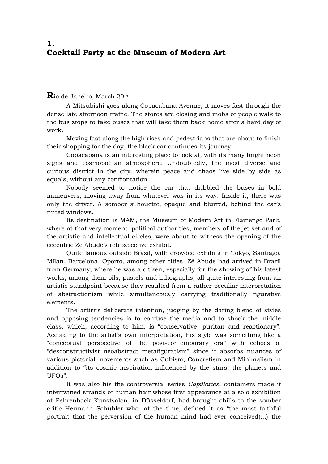## **R**io de Janeiro, March 20th

A Mitsubishi goes along Copacabana Avenue, it moves fast through the dense late afternoon traffic. The stores are closing and mobs of people walk to the bus stops to take buses that will take them back home after a hard day of work.

Moving fast along the high rises and pedestrians that are about to finish their shopping for the day, the black car continues its journey.

Copacabana is an interesting place to look at, with its many bright neon signs and cosmopolitan atmosphere. Undoubtedly, the most diverse and curious district in the city, wherein peace and chaos live side by side as equals, without any confrontation.

Nobody seemed to notice the car that dribbled the buses in bold maneuvers, moving away from whatever was in its way. Inside it, there was only the driver. A somber silhouette, opaque and blurred, behind the car's tinted windows.

Its destination is MAM, the Museum of Modern Art in Flamengo Park, where at that very moment, political authorities, members of the jet set and of the artistic and intellectual circles, were about to witness the opening of the eccentric Zé Abude's retrospective exhibit.

Quite famous outside Brazil, with crowded exhibits in Tokyo, Santiago, Milan, Barcelona, Oporto, among other cities, Zé Abude had arrived in Brazil from Germany, where he was a citizen, especially for the showing of his latest works, among them oils, pastels and lithographs, all quite interesting from an artistic standpoint because they resulted from a rather peculiar interpretation of abstractionism while simultaneously carrying traditionally figurative elements.

The artist's deliberate intention, judging by the daring blend of styles and opposing tendencies is to confuse the media and to shock the middle class, which, according to him, is "conservative, puritan and reactionary". According to the artist's own interpretation, his style was something like a "conceptual perspective of the post-contemporary era" with echoes of "desconstructivist neoabstract metafiguratism" since it absorbs nuances of various pictorial movements such as Cubism, Concretism and Minimalism in addition to "its cosmic inspiration influenced by the stars, the planets and UFOs".

It was also his the controversial series *Capillaries*, containers made it intertwined strands of human hair whose first appearance at a solo exhibition at Fehrenback Kunstsalon, in Düsseldorf, had brought chills to the somber critic Hermann Schuhler who, at the time, defined it as "the most faithful portrait that the perversion of the human mind had ever conceived(…) the